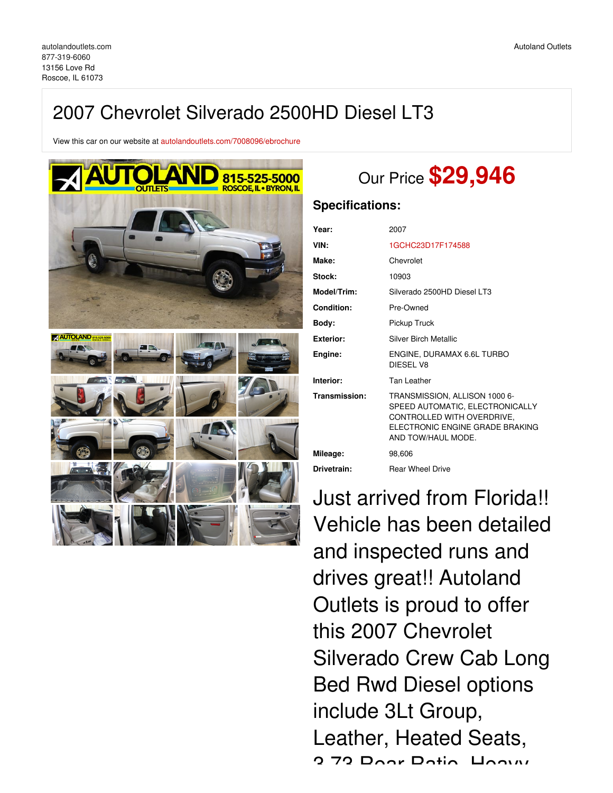# 2007 Chevrolet Silverado 2500HD Diesel LT3

View this car on our website at [autolandoutlets.com/7008096/ebrochure](https://autolandoutlets.com/vehicle/7008096/2007-chevrolet-silverado-2500hd-diesel-lt3-roscoe-il-61073/7008096/ebrochure)



# Our Price **\$29,946**

## **Specifications:**

| Year:         | 2007                                                                                                                                                     |
|---------------|----------------------------------------------------------------------------------------------------------------------------------------------------------|
| VIN:          | 1GCHC23D17F174588                                                                                                                                        |
| Make:         | Chevrolet                                                                                                                                                |
| Stock:        | 10903                                                                                                                                                    |
| Model/Trim:   | Silverado 2500HD Diesel LT3                                                                                                                              |
| Condition:    | Pre-Owned                                                                                                                                                |
| Body:         | Pickup Truck                                                                                                                                             |
| Exterior:     | Silver Birch Metallic                                                                                                                                    |
|               |                                                                                                                                                          |
| Engine:       | ENGINE, DURAMAX 6.6L TURBO<br>DIESEL V8                                                                                                                  |
| Interior:     | <b>Tan Leather</b>                                                                                                                                       |
| Transmission: | TRANSMISSION, ALLISON 1000 6-<br>SPEED AUTOMATIC, ELECTRONICALLY<br>CONTROLLED WITH OVERDRIVE,<br>FI FCTRONIC FNGINF GRADE BRAKING<br>AND TOW/HAUL MODE. |
| Mileage:      | 98,606                                                                                                                                                   |

Just arrived from Florida!! Vehicle has been detailed and inspected runs and drives great!! Autoland Outlets is proud to offer this 2007 Chevrolet Silverado Crew Cab Long Bed Rwd Diesel options include 3Lt Group, Leather, Heated Seats, 3.73 Rear Ratio, Heavy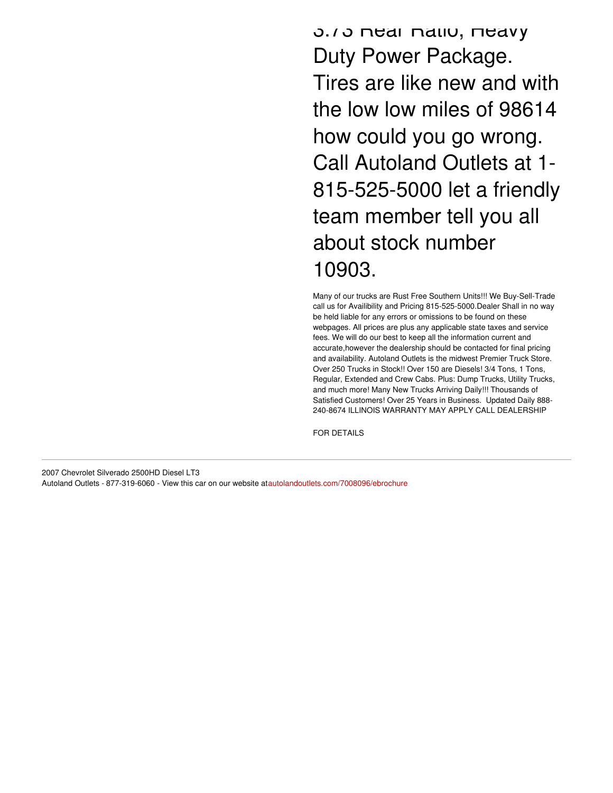3.73 Rear Ratio, Heavy Duty Power Package. Tires are like new and with the low low miles of 98614 how could you go wrong. Call Autoland Outlets at 1- 815-525-5000 let a friendly team member tell you all about stock number 10903.

Many of our trucks are Rust Free Southern Units!!! We Buy-Sell-Trade call us for Availibility and Pricing 815-525-5000.Dealer Shall in no way be held liable for any errors or omissions to be found on these webpages. All prices are plus any applicable state taxes and service fees. We will do our best to keep all the information current and accurate,however the dealership should be contacted for final pricing and availability. Autoland Outlets is the midwest Premier Truck Store. Over 250 Trucks in Stock!! Over 150 are Diesels! 3/4 Tons, 1 Tons, Regular, Extended and Crew Cabs. Plus: Dump Trucks, Utility Trucks, and much more! Many New Trucks Arriving Daily!!! Thousands of Satisfied Customers! Over 25 Years in Business. Updated Daily 888- 240-8674 ILLINOIS WARRANTY MAY APPLY CALL DEALERSHIP

FOR DETAILS

2007 Chevrolet Silverado 2500HD Diesel LT3 Autoland Outlets - 877-319-6060 - View this car on our website at[autolandoutlets.com/7008096/ebrochure](https://autolandoutlets.com/vehicle/7008096/2007-chevrolet-silverado-2500hd-diesel-lt3-roscoe-il-61073/7008096/ebrochure)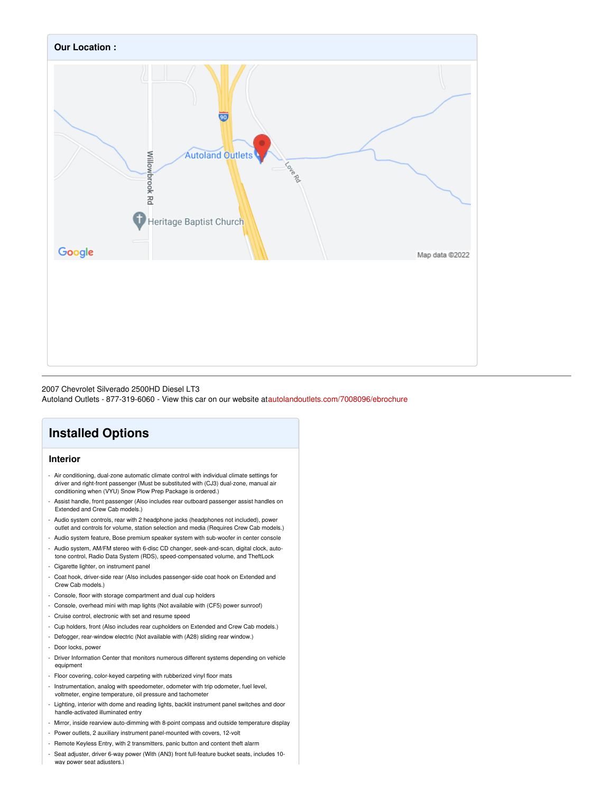

#### 2007 Chevrolet Silverado 2500HD Diesel LT3

Autoland Outlets - 877-319-6060 - View this car on our website at[autolandoutlets.com/7008096/ebrochure](https://autolandoutlets.com/vehicle/7008096/2007-chevrolet-silverado-2500hd-diesel-lt3-roscoe-il-61073/7008096/ebrochure)

## **Installed Options**

### **Interior**

- Air conditioning, dual-zone automatic climate control with individual climate settings for driver and right-front passenger (Must be substituted with (CJ3) dual-zone, manual air conditioning when (VYU) Snow Plow Prep Package is ordered.)
- Assist handle, front passenger (Also includes rear outboard passenger assist handles on Extended and Crew Cab models.)
- Audio system controls, rear with 2 headphone jacks (headphones not included), power outlet and controls for volume, station selection and media (Requires Crew Cab models.)
- Audio system feature, Bose premium speaker system with sub-woofer in center console
- Audio system, AM/FM stereo with 6-disc CD changer, seek-and-scan, digital clock, autotone control, Radio Data System (RDS), speed-compensated volume, and TheftLock
- Cigarette lighter, on instrument panel
- Coat hook, driver-side rear (Also includes passenger-side coat hook on Extended and Crew Cab models.)
- Console, floor with storage compartment and dual cup holders
- Console, overhead mini with map lights (Not available with (CF5) power sunroof)
- Cruise control, electronic with set and resume speed
- Cup holders, front (Also includes rear cupholders on Extended and Crew Cab models.)
- Defogger, rear-window electric (Not available with (A28) sliding rear window.)
- Door locks, power
- Driver Information Center that monitors numerous different systems depending on vehicle equipment
- Floor covering, color-keyed carpeting with rubberized vinyl floor mats
- Instrumentation, analog with speedometer, odometer with trip odometer, fuel level, voltmeter, engine temperature, oil pressure and tachometer
- Lighting, interior with dome and reading lights, backlit instrument panel switches and door handle-activated illuminated entry
- Mirror, inside rearview auto-dimming with 8-point compass and outside temperature display
- Power outlets, 2 auxiliary instrument panel-mounted with covers, 12-volt
- Remote Keyless Entry, with 2 transmitters, panic button and content theft alarm
- Seat adjuster, driver 6-way power (With (AN3) front full-feature bucket seats, includes 10 way power seat adiusters.)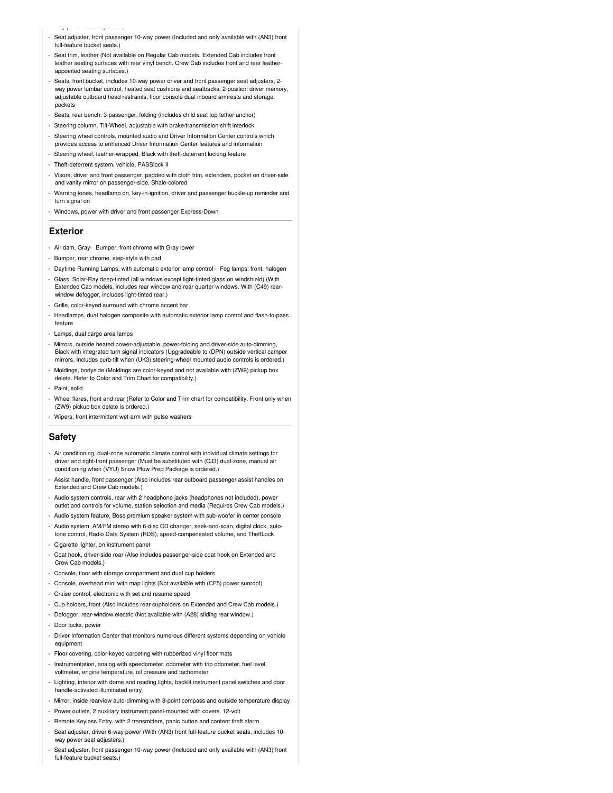- way power seat adjusters.)
- Seat adjuster, front passenger 10-way power (Included and only available with (AN3) front full-feature bucket seats.)
- Seat trim, leather (Not available on Regular Cab models. Extended Cab includes front leather seating surfaces with rear vinyl bench. Crew Cab includes front and rear leatherappointed seating surfaces.)
- Seats, front bucket, includes 10-way power driver and front passenger seat adjusters, 2 way power lumbar control, heated seat cushions and seatbacks, 2-position driver memory, adjustable outboard head restraints, floor console dual inboard armrests and storage pockets
- Seats, rear bench, 3-passenger, folding (includes child seat top tether anchor)
- Steering column, Tilt-Wheel, adjustable with brake/transmission shift interlock
- Steering wheel controls, mounted audio and Driver Information Center controls which provides access to enhanced Driver Information Center features and information
- Steering wheel, leather-wrapped, Black with theft-deterrent locking feature
- Theft-deterrent system, vehicle, PASSlock II
- Visors, driver and front passenger, padded with cloth trim, extenders, pocket on driver-side and vanity mirror on passenger-side, Shale-colored
- Warning tones, headlamp on, key-in-ignition, driver and passenger buckle-up reminder and turn signal on
- Windows, power with driver and front passenger Express-Down

#### **Exterior**

- Air dam, Gray- Bumper, front chrome with Gray lower
- Bumper, rear chrome, step-style with pad
- Daytime Running Lamps, with automatic exterior lamp control- Fog lamps, front, halogen
- Glass, Solar-Ray deep-tinted (all windows except light-tinted glass on windshield) (With Extended Cab models, includes rear window and rear quarter windows. With (C49) rearwindow defogger, includes light-tinted rear.)
- Grille, color-keyed surround with chrome accent bar
- Headlamps, dual halogen composite with automatic exterior lamp control and flash-to-pass feature
- Lamps, dual cargo area lamps
- Mirrors, outside heated power-adjustable, power-folding and driver-side auto-dimming, Black with integrated turn signal indicators (Upgradeable to (DPN) outside vertical camper mirrors. Includes curb-tilt when (UK3) steering-wheel mounted audio controls is ordered.)
- Moldings, bodyside (Moldings are color-keyed and not available with (ZW9) pickup box delete. Refer to Color and Trim Chart for compatibility.)
- Paint, solid
- Wheel flares, front and rear (Refer to Color and Trim chart for compatibility. Front only when (ZW9) pickup box delete is ordered.)
- Wipers, front intermittent wet-arm with pulse washers

#### **Safety**

- Air conditioning, dual-zone automatic climate control with individual climate settings for driver and right-front passenger (Must be substituted with (CJ3) dual-zone, manual air conditioning when (VYU) Snow Plow Prep Package is ordered.)
- Assist handle, front passenger (Also includes rear outboard passenger assist handles on Extended and Crew Cab models.)
- Audio system controls, rear with 2 headphone jacks (headphones not included), power outlet and controls for volume, station selection and media (Requires Crew Cab models.)
- Audio system feature, Bose premium speaker system with sub-woofer in center console
- Audio system, AM/FM stereo with 6-disc CD changer, seek-and-scan, digital clock, autotone control, Radio Data System (RDS), speed-compensated volume, and TheftLock
- Cigarette lighter, on instrument panel
- Coat hook, driver-side rear (Also includes passenger-side coat hook on Extended and Crew Cab models.)
- Console, floor with storage compartment and dual cup holders
- Console, overhead mini with map lights (Not available with (CF5) power sunroof)
- Cruise control, electronic with set and resume speed
- Cup holders, front (Also includes rear cupholders on Extended and Crew Cab models.)
- Defogger, rear-window electric (Not available with (A28) sliding rear window.)
- Door locks, power
- Driver Information Center that monitors numerous different systems depending on vehicle equipment
- Floor covering, color-keyed carpeting with rubberized vinyl floor mats
- Instrumentation, analog with speedometer, odometer with trip odometer, fuel level, voltmeter, engine temperature, oil pressure and tachometer
- Lighting, interior with dome and reading lights, backlit instrument panel switches and door handle-activated illuminated entry
- Mirror, inside rearview auto-dimming with 8-point compass and outside temperature display
- Power outlets, 2 auxiliary instrument panel-mounted with covers, 12-volt
- Remote Keyless Entry, with 2 transmitters, panic button and content theft alarm
- Seat adjuster, driver 6-way power (With (AN3) front full-feature bucket seats, includes 10 way power seat adjusters.)
- Seat adjuster, front passenger 10-way power (Included and only available with (AN3) front full-feature bucket seats.)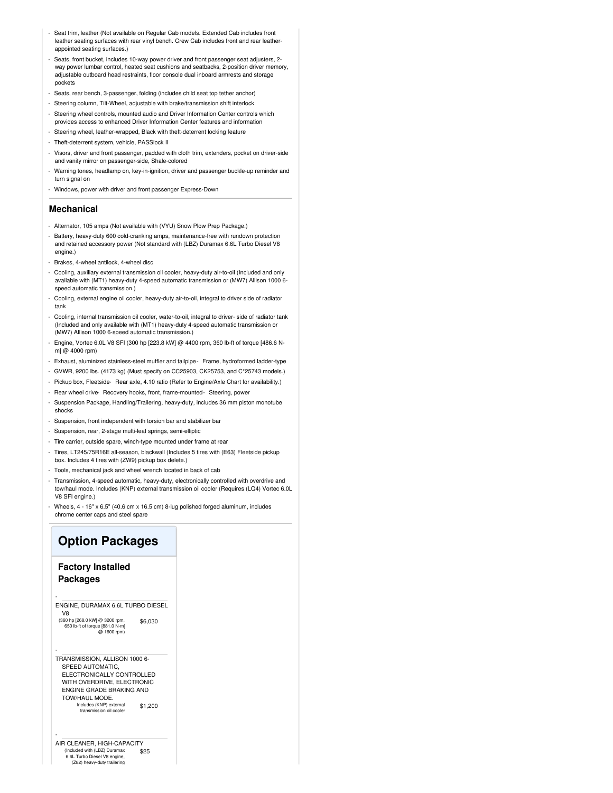- Seat trim, leather (Not available on Regular Cab models. Extended Cab includes front leather seating surfaces with rear vinyl bench. Crew Cab includes front and rear leatherappointed seating surfaces.)
- Seats, front bucket, includes 10-way power driver and front passenger seat adjusters, 2- way power lumbar control, heated seat cushions and seatbacks, 2-position driver memory, adjustable outboard head restraints, floor console dual inboard armrests and storage pockets
- Seats, rear bench, 3-passenger, folding (includes child seat top tether anchor)
- Steering column, Tilt-Wheel, adjustable with brake/transmission shift interlock
- Steering wheel controls, mounted audio and Driver Information Center controls which provides access to enhanced Driver Information Center features and information
- Steering wheel, leather-wrapped, Black with theft-deterrent locking feature
- Theft-deterrent system, vehicle, PASSlock II
- Visors, driver and front passenger, padded with cloth trim, extenders, pocket on driver-side and vanity mirror on passenger-side, Shale-colored
- Warning tones, headlamp on, key-in-ignition, driver and passenger buckle-up reminder and turn signal on
- Windows, power with driver and front passenger Express-Down

#### **Mechanical**

- Alternator, 105 amps (Not available with (VYU) Snow Plow Prep Package.)
- Battery, heavy-duty 600 cold-cranking amps, maintenance-free with rundown protection and retained accessory power (Not standard with (LBZ) Duramax 6.6L Turbo Diesel V8 engine.)
- Brakes, 4-wheel antilock, 4-wheel disc
- Cooling, auxiliary external transmission oil cooler, heavy-duty air-to-oil (Included and only available with (MT1) heavy-duty 4-speed automatic transmission or (MW7) Allison 1000 6 speed automatic transmission.)
- Cooling, external engine oil cooler, heavy-duty air-to-oil, integral to driver side of radiator tank
- Cooling, internal transmission oil cooler, water-to-oil, integral to driver- side of radiator tank (Included and only available with (MT1) heavy-duty 4-speed automatic transmission or (MW7) Allison 1000 6-speed automatic transmission.)
- Engine, Vortec 6.0L V8 SFI (300 hp [223.8 kW] @ 4400 rpm, 360 lb-ft of torque [486.6 Nm] @ 4000 rpm)
- Exhaust, aluminized stainless-steel muffler and tailpipe- Frame, hydroformed ladder-type
- GVWR, 9200 lbs. (4173 kg) (Must specify on CC25903, CK25753, and C\*25743 models.)
- Pickup box, Fleetside- Rear axle, 4.10 ratio (Refer to Engine/Axle Chart for availability.)
- Rear wheel drive Recovery hooks, front, frame-mounted- Steering, power
- Suspension Package, Handling/Trailering, heavy-duty, includes 36 mm piston monotube shocks
- Suspension, front independent with torsion bar and stabilizer bar
- Suspension, rear, 2-stage multi-leaf springs, semi-elliptic
- Tire carrier, outside spare, winch-type mounted under frame at rear
- Tires, LT245/75R16E all-season, blackwall (Includes 5 tires with (E63) Fleetside pickup box. Includes 4 tires with (ZW9) pickup box delete.)
- Tools, mechanical jack and wheel wrench located in back of cab
- Transmission, 4-speed automatic, heavy-duty, electronically controlled with overdrive and tow/haul mode. Includes (KNP) external transmission oil cooler (Requires (LQ4) Vortec 6.0L V8 SFI engine.)
- Wheels, 4 16" x 6.5" (40.6 cm x 16.5 cm) 8-lug polished forged aluminum, includes chrome center caps and steel spare

## **Option Packages**

### **Factory Installed Packages**

-

-

\$6,030 ENGINE, DURAMAX 6.6L TURBO DIESEL V8 (360 hp [268.0 kW] @ 3200 rpm

650 lb-ft of torque [881.0 N-m] @ 1600 rpm) - TRANSMISSION, ALLISON 1000 6-

\$1,200 SPEED AUTOMATIC, ELECTRONICALLY CONTROLLED WITH OVERDRIVE, ELECTRONIC ENGINE GRADE BRAKING AND TOW/HAUL MODE. Includes (KNP) external transmission oil cooler

\$25 AIR CLEANER, HIGH-CAPACITY (Included with (LBZ) Duramax 6.6L Turbo Diesel V8 engine, (Z82) heavy-duty traile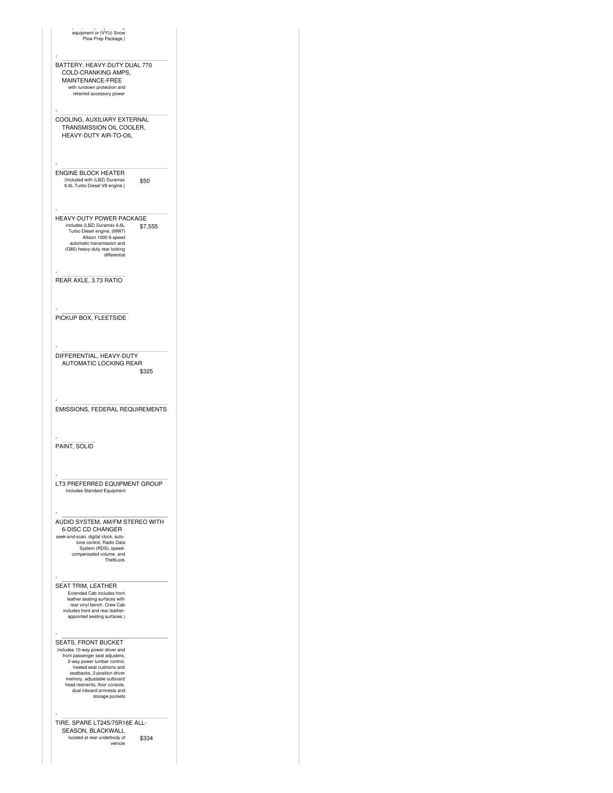| equipment or (VYU) Snow<br>Plow Prep Package.)                                                                                                                                                                                                                                                          |         |
|---------------------------------------------------------------------------------------------------------------------------------------------------------------------------------------------------------------------------------------------------------------------------------------------------------|---------|
| BATTERY, HEAVY-DUTY DUAL 770<br>COLD-CRANKING AMPS,<br>MAINTENANCE-FREE<br>with rundown protection and<br>retained accessory power                                                                                                                                                                      |         |
| COOLING, AUXILIARY EXTERNAL<br>TRANSMISSION OIL COOLER,<br>HEAVY-DUTY AIR-TO-OIL                                                                                                                                                                                                                        |         |
| <b>ENGINE BLOCK HEATER</b><br>(Included with (LBZ) Duramax<br>6.6L Turbo Diesel V8 engine.)                                                                                                                                                                                                             | \$50    |
| HEAVY-DUTY POWER PACKAGE<br>includes (LBZ) Duramax 6.6L<br>Turbo Diesel engine, (MW7)<br>Allison 1000 6-speed<br>automatic transmission and<br>(G80) heavy-duty rear locking<br>differential                                                                                                            | \$7,555 |
| REAR AXLE, 3.73 RATIO                                                                                                                                                                                                                                                                                   |         |
| PICKUP BOX, FLEETSIDE                                                                                                                                                                                                                                                                                   |         |
| DIFFERENTIAL, HEAVY-DUTY<br>AUTOMATIC LOCKING REAR                                                                                                                                                                                                                                                      | \$325   |
| EMISSIONS, FEDERAL REQUIREMENTS                                                                                                                                                                                                                                                                         |         |
| PAINT, SOLID                                                                                                                                                                                                                                                                                            |         |
| LT3 PREFERRED EQUIPMENT GROUP<br><b>Includes Standard Equipment</b>                                                                                                                                                                                                                                     |         |
| AUDIO SYSTEM, AM/FM STEREO WITH<br><b>6-DISC CD CHANGER</b><br>seek-and-scan, digital clock, auto-<br>tone control, Radio Data<br>System (RDS), speed-<br>compensated volume, and<br>TheftLock                                                                                                          |         |
| SEAT TRIM, LEATHER<br>Extended Cab includes front<br>leather seating surfaces with<br>rear vinyl bench. Crew Cab<br>includes front and rear leather-<br>appointed seating surfaces.)                                                                                                                    |         |
| SEATS, FRONT BUCKET<br>includes 10-way power driver and<br>front passenger seat adjusters,<br>2-way power lumbar control,<br>heated seat cushions and<br>seatbacks, 2-position driver<br>memory, adjustable outboard<br>head restraints, floor console,<br>dual inboard armrests and<br>storage pockets |         |
| TIRE, SPARE LT245/75R16E ALL-<br>SEASON, BLACKWALL<br>located at rear underbody of<br>vehicle                                                                                                                                                                                                           | \$334   |